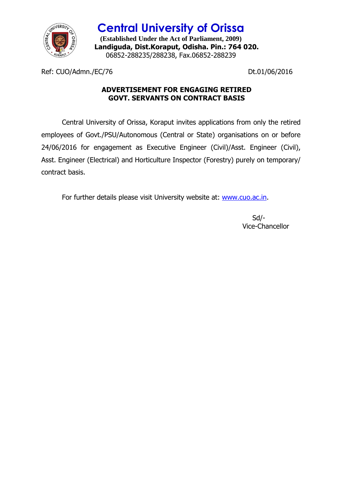

**Central University of Orissa (Established Under the Act of Parliament, 2009) Landiguda, Dist.Koraput, Odisha. Pin.: 764 020.** 06852-288235/288238, Fax.06852-288239

Ref: CUO/Admn./EC/76 Dt.01/06/2016

# **ADVERTISEMENT FOR ENGAGING RETIRED GOVT. SERVANTS ON CONTRACT BASIS**

Central University of Orissa, Koraput invites applications from only the retired employees of Govt./PSU/Autonomous (Central or State) organisations on or before 24/06/2016 for engagement as Executive Engineer (Civil)/Asst. Engineer (Civil), Asst. Engineer (Electrical) and Horticulture Inspector (Forestry) purely on temporary/ contract basis.

For further details please visit University website at: [www.cuo.ac.in.](http://www.cuo.ac.in/)

 Sd/- Vice-Chancellor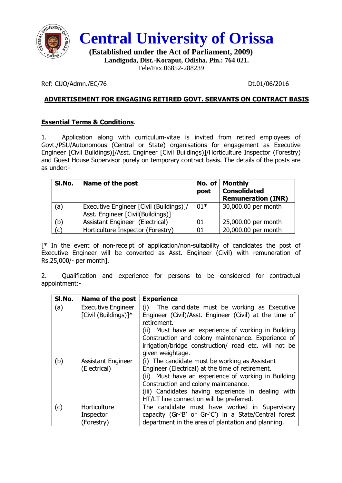



**(Established under the Act of Parliament, 2009) Landiguda, Dist.-Koraput, Odisha. Pin.: 764 021.** Tele/Fax.06852-288239

Ref: CUO/Admn./EC/76 Dt.01/06/2016

## **ADVERTISEMENT FOR ENGAGING RETIRED GOVT. SERVANTS ON CONTRACT BASIS**

#### **Essential Terms & Conditions**.

1. Application along with curriculum-vitae is invited from retired employees of Govt./PSU/Autonomous (Central or State) organisations for engagement as Executive Engineer [Civil Buildings)]/Asst. Engineer [Civil Buildings)]/Horticulture Inspector (Forestry) and Guest House Supervisor purely on temporary contract basis. The details of the posts are as under:-

| SI.No. | Name of the post                                                             | No. of<br>post | <b>Monthly</b><br><b>Consolidated</b><br><b>Remuneration (INR)</b> |
|--------|------------------------------------------------------------------------------|----------------|--------------------------------------------------------------------|
| (a)    | Executive Engineer [Civil (Buildings)]/<br>Asst. Engineer [Civil(Buildings)] | $01*$          | 30,000.00 per month                                                |
| (b)    | Assistant Engineer (Electrical)                                              | 01             | 25,000.00 per month                                                |
| (c)    | Horticulture Inspector (Forestry)                                            | 01             | 20,000.00 per month                                                |

[\* In the event of non-receipt of application/non-suitability of candidates the post of Executive Engineer will be converted as Asst. Engineer (Civil) with remuneration of Rs.25,000/- per month].

2. Qualification and experience for persons to be considered for contractual appointment:-

| SI.No. | Name of the post                                  | <b>Experience</b>                                                                                                                                                                                                                                                                                                    |
|--------|---------------------------------------------------|----------------------------------------------------------------------------------------------------------------------------------------------------------------------------------------------------------------------------------------------------------------------------------------------------------------------|
| (a)    | <b>Executive Engineer</b><br>[Civil (Buildings)]* | The candidate must be working as Executive<br>(i)<br>Engineer (Civil)/Asst. Engineer (Civil) at the time of<br>retirement.<br>(ii) Must have an experience of working in Building<br>Construction and colony maintenance. Experience of<br>irrigation/bridge construction/ road etc. will not be<br>given weightage. |
| (b)    | <b>Assistant Engineer</b><br>(Electrical)         | (i) The candidate must be working as Assistant<br>Engineer (Electrical) at the time of retirement.<br>Must have an experience of working in Building<br>(ii)<br>Construction and colony maintenance.<br>(iii) Candidates having experience in dealing with<br>HT/LT line connection will be preferred.               |
| (c)    | Horticulture<br>Inspector<br>(Forestry)           | The candidate must have worked in Supervisory<br>capacity (Gr-'B' or Gr-'C') in a State/Central forest<br>department in the area of plantation and planning.                                                                                                                                                         |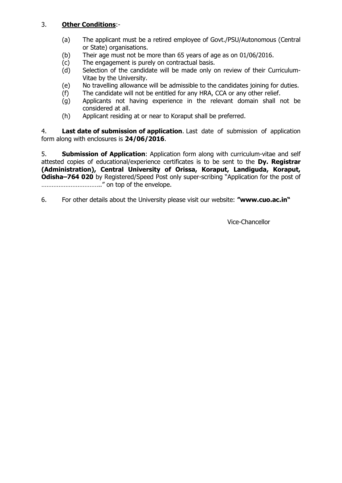### 3. **Other Conditions**:-

- (a) The applicant must be a retired employee of Govt./PSU/Autonomous (Central or State) organisations.
- (b) Their age must not be more than 65 years of age as on 01/06/2016.
- (c) The engagement is purely on contractual basis.
- (d) Selection of the candidate will be made only on review of their Curriculum-Vitae by the University.
- (e) No travelling allowance will be admissible to the candidates joining for duties.
- (f) The candidate will not be entitled for any HRA, CCA or any other relief.
- (g) Applicants not having experience in the relevant domain shall not be considered at all.
- (h) Applicant residing at or near to Koraput shall be preferred.

4. **Last date of submission of application**. Last date of submission of application form along with enclosures is **24/06/2016**.

5. **Submission of Application**: Application form along with curriculum-vitae and self attested copies of educational/experience certificates is to be sent to the **Dy. Registrar (Administration), Central University of Orissa, Koraput, Landiguda, Koraput, Odisha–764 020** by Registered/Speed Post only super-scribing "Application for the post of …………………………….." on top of the envelope.

6. For other details about the University please visit our website: **"www.cuo.ac.in"**

Vice-Chancellor